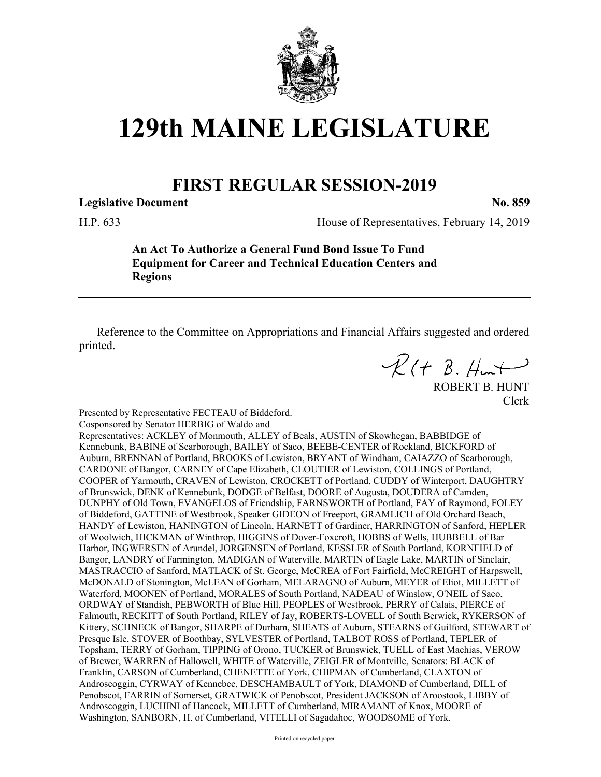

## **129th MAINE LEGISLATURE**

## **FIRST REGULAR SESSION-2019**

**Legislative Document No. 859**

H.P. 633 House of Representatives, February 14, 2019

**An Act To Authorize a General Fund Bond Issue To Fund Equipment for Career and Technical Education Centers and Regions**

Reference to the Committee on Appropriations and Financial Affairs suggested and ordered printed.

 $R(H B. Hmt)$ 

ROBERT B. HUNT Clerk

Presented by Representative FECTEAU of Biddeford.

Cosponsored by Senator HERBIG of Waldo and

Representatives: ACKLEY of Monmouth, ALLEY of Beals, AUSTIN of Skowhegan, BABBIDGE of Kennebunk, BABINE of Scarborough, BAILEY of Saco, BEEBE-CENTER of Rockland, BICKFORD of Auburn, BRENNAN of Portland, BROOKS of Lewiston, BRYANT of Windham, CAIAZZO of Scarborough, CARDONE of Bangor, CARNEY of Cape Elizabeth, CLOUTIER of Lewiston, COLLINGS of Portland, COOPER of Yarmouth, CRAVEN of Lewiston, CROCKETT of Portland, CUDDY of Winterport, DAUGHTRY of Brunswick, DENK of Kennebunk, DODGE of Belfast, DOORE of Augusta, DOUDERA of Camden, DUNPHY of Old Town, EVANGELOS of Friendship, FARNSWORTH of Portland, FAY of Raymond, FOLEY of Biddeford, GATTINE of Westbrook, Speaker GIDEON of Freeport, GRAMLICH of Old Orchard Beach, HANDY of Lewiston, HANINGTON of Lincoln, HARNETT of Gardiner, HARRINGTON of Sanford, HEPLER of Woolwich, HICKMAN of Winthrop, HIGGINS of Dover-Foxcroft, HOBBS of Wells, HUBBELL of Bar Harbor, INGWERSEN of Arundel, JORGENSEN of Portland, KESSLER of South Portland, KORNFIELD of Bangor, LANDRY of Farmington, MADIGAN of Waterville, MARTIN of Eagle Lake, MARTIN of Sinclair, MASTRACCIO of Sanford, MATLACK of St. George, McCREA of Fort Fairfield, McCREIGHT of Harpswell, McDONALD of Stonington, McLEAN of Gorham, MELARAGNO of Auburn, MEYER of Eliot, MILLETT of Waterford, MOONEN of Portland, MORALES of South Portland, NADEAU of Winslow, O'NEIL of Saco, ORDWAY of Standish, PEBWORTH of Blue Hill, PEOPLES of Westbrook, PERRY of Calais, PIERCE of Falmouth, RECKITT of South Portland, RILEY of Jay, ROBERTS-LOVELL of South Berwick, RYKERSON of Kittery, SCHNECK of Bangor, SHARPE of Durham, SHEATS of Auburn, STEARNS of Guilford, STEWART of Presque Isle, STOVER of Boothbay, SYLVESTER of Portland, TALBOT ROSS of Portland, TEPLER of Topsham, TERRY of Gorham, TIPPING of Orono, TUCKER of Brunswick, TUELL of East Machias, VEROW of Brewer, WARREN of Hallowell, WHITE of Waterville, ZEIGLER of Montville, Senators: BLACK of Franklin, CARSON of Cumberland, CHENETTE of York, CHIPMAN of Cumberland, CLAXTON of Androscoggin, CYRWAY of Kennebec, DESCHAMBAULT of York, DIAMOND of Cumberland, DILL of Penobscot, FARRIN of Somerset, GRATWICK of Penobscot, President JACKSON of Aroostook, LIBBY of Androscoggin, LUCHINI of Hancock, MILLETT of Cumberland, MIRAMANT of Knox, MOORE of Washington, SANBORN, H. of Cumberland, VITELLI of Sagadahoc, WOODSOME of York.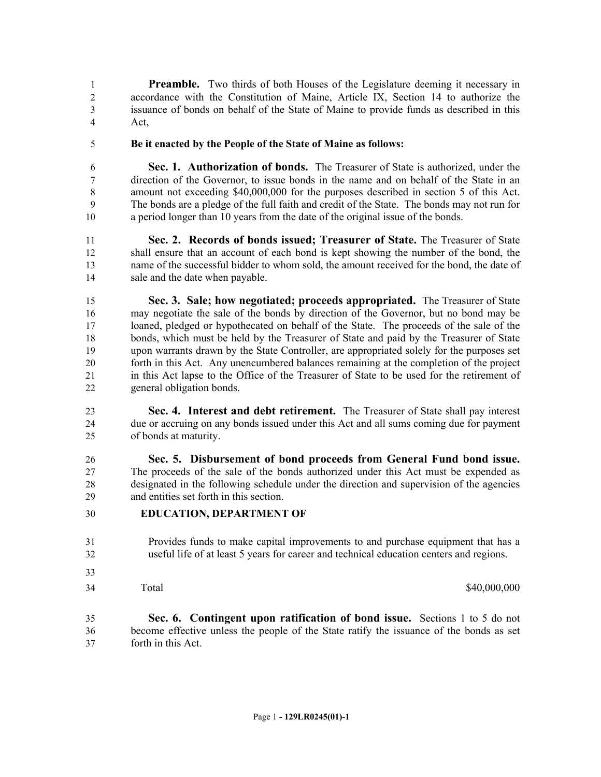**Preamble.** Two thirds of both Houses of the Legislature deeming it necessary in accordance with the Constitution of Maine, Article IX, Section 14 to authorize the issuance of bonds on behalf of the State of Maine to provide funds as described in this Act,

**Be it enacted by the People of the State of Maine as follows:**

 **Sec. 1. Authorization of bonds.** The Treasurer of State is authorized, under the direction of the Governor, to issue bonds in the name and on behalf of the State in an amount not exceeding \$40,000,000 for the purposes described in section 5 of this Act. The bonds are a pledge of the full faith and credit of the State. The bonds may not run for a period longer than 10 years from the date of the original issue of the bonds.

 **Sec. 2. Records of bonds issued; Treasurer of State.** The Treasurer of State shall ensure that an account of each bond is kept showing the number of the bond, the name of the successful bidder to whom sold, the amount received for the bond, the date of sale and the date when payable.

 **Sec. 3. Sale; how negotiated; proceeds appropriated.** The Treasurer of State may negotiate the sale of the bonds by direction of the Governor, but no bond may be loaned, pledged or hypothecated on behalf of the State. The proceeds of the sale of the bonds, which must be held by the Treasurer of State and paid by the Treasurer of State upon warrants drawn by the State Controller, are appropriated solely for the purposes set forth in this Act. Any unencumbered balances remaining at the completion of the project in this Act lapse to the Office of the Treasurer of State to be used for the retirement of general obligation bonds.

 **Sec. 4. Interest and debt retirement.** The Treasurer of State shall pay interest due or accruing on any bonds issued under this Act and all sums coming due for payment of bonds at maturity.

 **Sec. 5. Disbursement of bond proceeds from General Fund bond issue.**  The proceeds of the sale of the bonds authorized under this Act must be expended as designated in the following schedule under the direction and supervision of the agencies and entities set forth in this section.

- **EDUCATION, DEPARTMENT OF**
- Provides funds to make capital improvements to and purchase equipment that has a useful life of at least 5 years for career and technical education centers and regions.
- 
- 

Total \$40,000,000 \$40,000,000 \$40,000,000 \$40,000,000 \$40,000,000 \$40,000 \$40,000 \$40,000 \$10.

 **Sec. 6. Contingent upon ratification of bond issue.** Sections 1 to 5 do not become effective unless the people of the State ratify the issuance of the bonds as set forth in this Act.